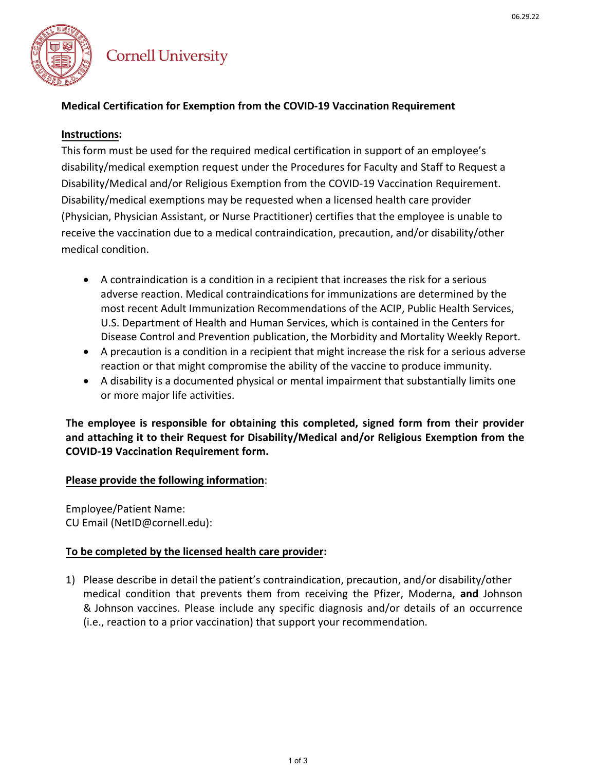

# **Cornell University**

## **Medical Certification for Exemption from the COVID-19 Vaccination Requirement**

### **Instructions:**

This form must be used for the required medical certification in support of an employee's disability/medical exemption request under the Procedures for Faculty and Staff to Request a Disability/Medical and/or Religious Exemption from the COVID-19 Vaccination Requirement. Disability/medical exemptions may be requested when a licensed health care provider (Physician, Physician Assistant, or Nurse Practitioner) certifies that the employee is unable to receive the vaccination due to a medical contraindication, precaution, and/or disability/other medical condition.

- A contraindication is a condition in a recipient that increases the risk for a serious adverse reaction. Medical contraindications for immunizations are determined by the most recent Adult Immunization Recommendations of the ACIP, Public Health Services, U.S. Department of Health and Human Services, which is contained in the Centers for Disease Control and Prevention publication, the Morbidity and Mortality Weekly Report.
- A precaution is a condition in a recipient that might increase the risk for a serious adverse reaction or that might compromise the ability of the vaccine to produce immunity.
- A disability is a documented physical or mental impairment that substantially limits one or more major life activities.

**The employee is responsible for obtaining this completed, signed form from their provider and attaching it to their Request for Disability/Medical and/or Religious Exemption from the COVID-19 Vaccination Requirement form.** 

### **Please provide the following information**:

Employee/Patient Name: CU Email (NetID@cornell.edu):

### **To be completed by the licensed health care provider:**

1) Please describe in detail the patient's contraindication, precaution, and/or disability/other medical condition that prevents them from receiving the Pfizer, Moderna, **and** Johnson & Johnson vaccines. Please include any specific diagnosis and/or details of an occurrence (i.e., reaction to a prior vaccination) that support your recommendation.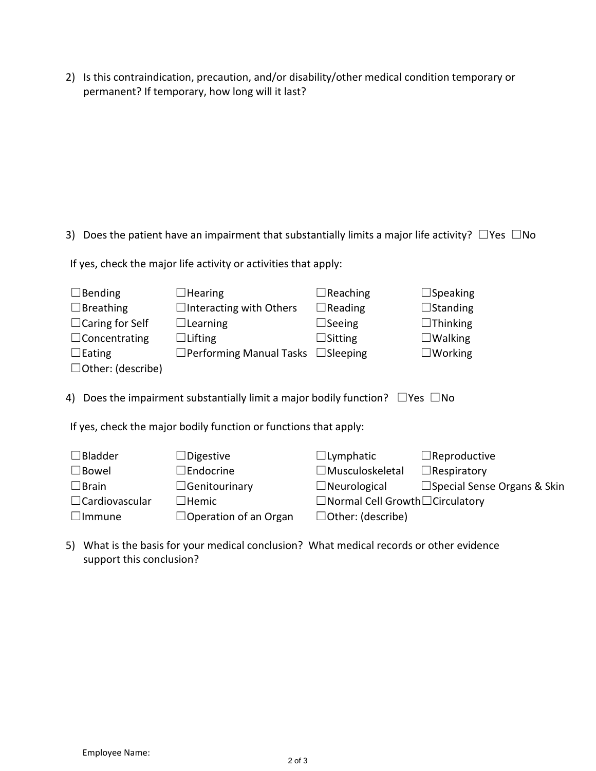2) Is this contraindication, precaution, and/or disability/other medical condition temporary or permanent? If temporary, how long will it last?

3) Does the patient have an impairment that substantially limits a major life activity?  $\Box$  Yes  $\Box$  No

If yes, check the major life activity or activities that apply:

| $\Box$ Bending                                                                           | $\Box$ Hearing                                 | $\Box$ Reaching          | $\Box$ Speaking     |  |  |  |
|------------------------------------------------------------------------------------------|------------------------------------------------|--------------------------|---------------------|--|--|--|
| $\Box$ Breathing                                                                         | $\Box$ Interacting with Others                 | $\Box$ Reading           | $\Box$ Standing     |  |  |  |
| $\Box$ Caring for Self                                                                   | $\Box$ Learning                                | $\Box$ Seeing            | $\Box$ Thinking     |  |  |  |
| $\Box$ Concentrating                                                                     | $\Box$ Lifting                                 | $\Box$ Sitting           | $\Box$ Walking      |  |  |  |
| $\Box$ Eating                                                                            | $\Box$ Performing Manual Tasks $\Box$ Sleeping |                          | $\square$ Working   |  |  |  |
| $\Box$ Other: (describe)                                                                 |                                                |                          |                     |  |  |  |
| 4) Does the impairment substantially limit a major bodily function? $\Box$ Yes $\Box$ No |                                                |                          |                     |  |  |  |
| If yes, check the major bodily function or functions that apply:                         |                                                |                          |                     |  |  |  |
| $\Box$ Bladder                                                                           | $\Box$ Digestive                               | $\Box$ Lymphatic         | $\Box$ Reproductive |  |  |  |
| امسدها ا                                                                                 | <b>IFAdorino</b>                               | امدمام باممان بممريز الل | $\Box$ Docnicatoru  |  |  |  |

| $\square$ Bowel       | $\Box$ Endocrine             | $\Box$ Musculoskeletal                       | $\Box$ Respiratory                 |
|-----------------------|------------------------------|----------------------------------------------|------------------------------------|
| $\Box$ Brain          | $\Box$ Genitourinary         | $\Box$ Neurological                          | $\Box$ Special Sense Organs & Skin |
| $\Box$ Cardiovascular | $\lrcorner$ Hemic            | $\Box$ Normal Cell Growth $\Box$ Circulatory |                                    |
| $\Box$ Immune         | $\Box$ Operation of an Organ | $\Box$ Other: (describe)                     |                                    |
|                       |                              |                                              |                                    |

5) What is the basis for your medical conclusion? What medical records or other evidence support this conclusion?